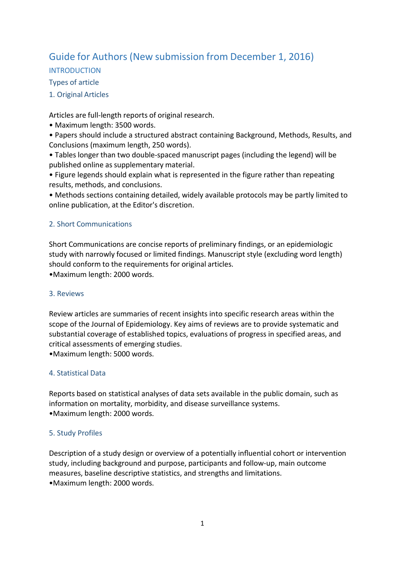# Guide for Authors (New submission from December 1, 2016)

INTRODUCTION

Types of article

1. Original Articles

Articles are full-length reports of original research.

- Maximum length: 3500 words.
- Papers should include a structured abstract containing Background, Methods, Results, and Conclusions (maximum length, 250 words).
- Tables longer than two double-spaced manuscript pages (including the legend) will be published online as supplementary material.
- Figure legends should explain what is represented in the figure rather than repeating results, methods, and conclusions.

• Methods sections containing detailed, widely available protocols may be partly limited to online publication, at the Editor's discretion.

## 2. Short Communications

Short Communications are concise reports of preliminary findings, or an epidemiologic study with narrowly focused or limited findings. Manuscript style (excluding word length) should conform to the requirements for original articles.

•Maximum length: 2000 words.

## 3. Reviews

Review articles are summaries of recent insights into specific research areas within the scope of the Journal of Epidemiology. Key aims of reviews are to provide systematic and substantial coverage of established topics, evaluations of progress in specified areas, and critical assessments of emerging studies.

•Maximum length: 5000 words.

## 4. Statistical Data

Reports based on statistical analyses of data sets available in the public domain, such as information on mortality, morbidity, and disease surveillance systems. •Maximum length: 2000 words.

## 5. Study Profiles

Description of a study design or overview of a potentially influential cohort or intervention study, including background and purpose, participants and follow-up, main outcome measures, baseline descriptive statistics, and strengths and limitations. •Maximum length: 2000 words.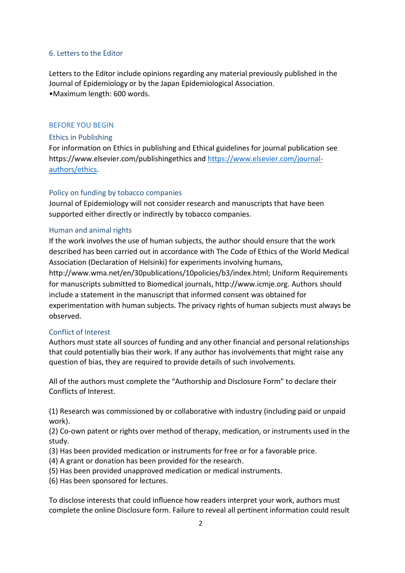### 6. Letters to the Editor

Letters to the Editor include opinions regarding any material previously published in the Journal of Epidemiology or by the Japan Epidemiological Association. •Maximum length: 600 words.

### BEFORE YOU BEGIN

### Ethics in Publishing

For information on Ethics in publishing and Ethical guidelines for journal publication see https:[//www.elsevier.com/publishingethics](http://www.elsevier.com/publishingethics) and [https://www.elsevier.com/journal](https://www.elsevier.com/journal-authors/ethics)[authors/ethics.](https://www.elsevier.com/journal-authors/ethics)

## Policy on funding by tobacco companies

Journal of Epidemiology will not consider research and manuscripts that have been supported either directly or indirectly by tobacco companies.

### Human and animal rights

If the work involves the use of human subjects, the author should ensure that the work described has been carried out in accordance with The Code of Ethics of the World Medical Association (Declaration of Helsinki) for experiments involving humans,

[http://www.wma.net/en/30publications/10policies/b3/index.html;](http://www.wma.net/en/30publications/10policies/b3/index.html%3B) Uniform Requirements for manuscripts submitted to Biomedical journals, [http://www.icmje.org.](http://www.icmje.org/) Authors should include a statement in the manuscript that informed consent was obtained for experimentation with human subjects. The privacy rights of human subjects must always be observed.

## Conflict of Interest

Authors must state all sources of funding and any other financial and personal relationships that could potentially bias their work. If any author has involvements that might raise any question of bias, they are required to provide details of such involvements.

All of the authors must complete the "Authorship and Disclosure Form" to declare their Conflicts of Interest.

(1) Research was commissioned by or collaborative with industry (including paid or unpaid work).

(2) Co-own patent or rights over method of therapy, medication, or instruments used in the study.

- (3) Has been provided medication or instruments for free or for a favorable price.
- (4) A grant or donation has been provided for the research.
- (5) Has been provided unapproved medication or medical instruments.
- (6) Has been sponsored for lectures.

To disclose interests that could influence how readers interpret your work, authors must complete the online Disclosure form. Failure to reveal all pertinent information could result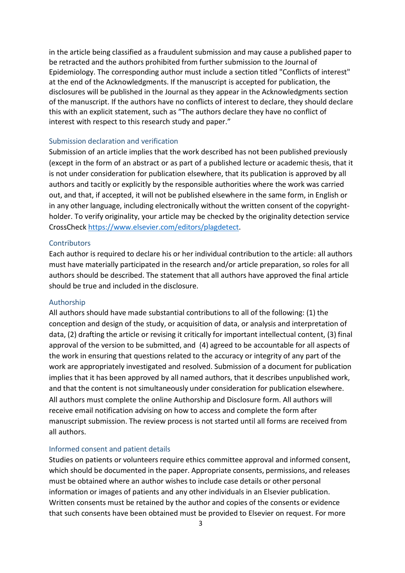in the article being classified as a fraudulent submission and may cause a published paper to be retracted and the authors prohibited from further submission to the Journal of Epidemiology. The corresponding author must include a section titled "Conflicts of interest" at the end of the Acknowledgments. If the manuscript is accepted for publication, the disclosures will be published in the Journal as they appear in the Acknowledgments section of the manuscript. If the authors have no conflicts of interest to declare, they should declare this with an explicit statement, such as "The authors declare they have no conflict of interest with respect to this research study and paper."

#### Submission declaration and verification

Submission of an article implies that the work described has not been published previously (except in the form of an abstract or as part of a published lecture or academic thesis, that it is not under consideration for publication elsewhere, that its publication is approved by all authors and tacitly or explicitly by the responsible authorities where the work was carried out, and that, if accepted, it will not be published elsewhere in the same form, in English or in any other language, including electronically without the written consent of the copyrightholder. To verify originality, your article may be checked by the originality detection service CrossChec[k https://www.elsevier.com/editors/plagdetect.](https://www.elsevier.com/editors/plagdetect)

#### **Contributors**

Each author is required to declare his or her individual contribution to the article: all authors must have materially participated in the research and/or article preparation, so roles for all authors should be described. The statement that all authors have approved the final article should be true and included in the disclosure.

#### Authorship

All authors should have made substantial contributions to all of the following: (1) the conception and design of the study, or acquisition of data, or analysis and interpretation of data, (2) drafting the article or revising it critically for important intellectual content, (3) final approval of the version to be submitted, and (4) agreed to be accountable for all aspects of the work in ensuring that questions related to the accuracy or integrity of any part of the work are appropriately investigated and resolved. Submission of a document for publication implies that it has been approved by all named authors, that it describes unpublished work, and that the content is not simultaneously under consideration for publication elsewhere. All authors must complete the online Authorship and Disclosure form. All authors will receive email notification advising on how to access and complete the form after manuscript submission. The review process is not started until all forms are received from all authors.

#### Informed consent and patient details

Studies on patients or volunteers require ethics committee approval and informed consent, which should be documented in the paper. Appropriate consents, permissions, and releases must be obtained where an author wishes to include case details or other personal information or images of patients and any other individuals in an Elsevier publication. Written consents must be retained by the author and copies of the consents or evidence that such consents have been obtained must be provided to Elsevier on request. For more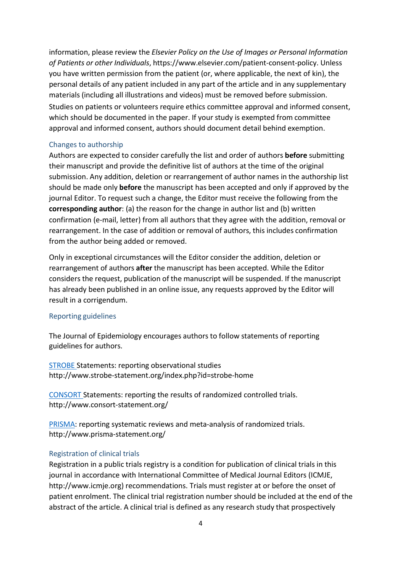information, please review the *Elsevier Policy on the Use of Images or Personal Information of Patients or other Individuals*, https[://www.elsevier.com/patient-consent-policy.](http://www.elsevier.com/patient-consent-policy) Unless you have written permission from the patient (or, where applicable, the next of kin), the personal details of any patient included in any part of the article and in any supplementary materials (including all illustrations and videos) must be removed before submission. Studies on patients or volunteers require ethics committee approval and informed consent, which should be documented in the paper. If your study is exempted from committee approval and informed consent, authors should document detail behind exemption.

### Changes to authorship

Authors are expected to consider carefully the list and order of authors **before** submitting their manuscript and provide the definitive list of authors at the time of the original submission. Any addition, deletion or rearrangement of author names in the authorship list should be made only **before** the manuscript has been accepted and only if approved by the journal Editor. To request such a change, the Editor must receive the following from the **corresponding author**: (a) the reason for the change in author list and (b) written confirmation (e-mail, letter) from all authors that they agree with the addition, removal or rearrangement. In the case of addition or removal of authors, this includes confirmation from the author being added or removed.

Only in exceptional circumstances will the Editor consider the addition, deletion or rearrangement of authors **after** the manuscript has been accepted. While the Editor considers the request, publication of the manuscript will be suspended. If the manuscript has already been published in an online issue, any requests approved by the Editor will result in a corrigendum.

#### Reporting guidelines

The Journal of Epidemiology encourages authors to follow statements of reporting guidelines for authors.

[STROBE](http://www.strobe-statement.org/index.php?id=strobe-home) Statements: reporting observational studies <http://www.strobe-statement.org/index.php?id=strobe-home>

[CONSORT](http://www.consort-statement.org/) Statements: reporting the results of randomized controlled trials. <http://www.consort-statement.org/>

[PRISMA:](http://www.prisma-statement.org/) reporting systematic reviews and meta-analysis of randomized trials. <http://www.prisma-statement.org/>

## Registration of clinical trials

Registration in a public trials registry is a condition for publication of clinical trials in this journal in accordance with International Committee of Medical Journal Editors (ICMJE, http://www.icmje.org) recommendations. Trials must register at or before the onset of patient enrolment. The clinical trial registration number should be included at the end of the abstract of the article. A clinical trial is defined as any research study that prospectively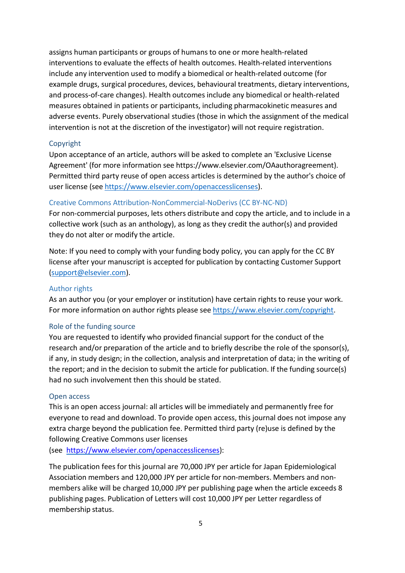assigns human participants or groups of humans to one or more health-related interventions to evaluate the effects of health outcomes. Health-related interventions include any intervention used to modify a biomedical or health-related outcome (for example drugs, surgical procedures, devices, behavioural treatments, dietary interventions, and process-of-care changes). Health outcomes include any biomedical or health-related measures obtained in patients or participants, including pharmacokinetic measures and adverse events. Purely observational studies (those in which the assignment of the medical intervention is not at the discretion of the investigator) will not require registration.

## Copyright

Upon acceptance of an article, authors will be asked to complete an 'Exclusive License Agreement' (for more information see https:[//www.elsevier.com/OAauthoragreement\).](http://www.elsevier.com/OAauthoragreement)) Permitted third party reuse of open access articles is determined by the author's choice of user license (see [https://www.elsevier.com/openaccesslicenses\)](https://www.elsevier.com/openaccesslicenses).

### Creative Commons Attribution-NonCommercial-NoDerivs (CC BY-NC-ND)

For non-commercial purposes, lets others distribute and copy the article, and to include in a collective work (such as an anthology), as long as they credit the author(s) and provided they do not alter or modify the article.

Note: If you need to comply with your funding body policy, you can apply for the CC BY license after your manuscript is accepted for publication by contacting Customer Support [\(support@elsevier.com\)](mailto:support@elsevier.com).

#### Author rights

As an author you (or your employer or institution) have certain rights to reuse your work. For more information on author rights please see [https://www.elsevier.com/copyright.](https://www.elsevier.com/copyright)

#### Role of the funding source

You are requested to identify who provided financial support for the conduct of the research and/or preparation of the article and to briefly describe the role of the sponsor(s), if any, in study design; in the collection, analysis and interpretation of data; in the writing of the report; and in the decision to submit the article for publication. If the funding source(s) had no such involvement then this should be stated.

#### Open access

This is an open access journal: all articles will be immediately and permanently free for everyone to read and download. To provide open access, this journal does not impose any extra charge beyond the publication fee. Permitted third party (re)use is defined by the following Creative Commons user licenses

(see [https://www.elsevier.com/openaccesslicenses\)](https://www.elsevier.com/openaccesslicenses):

The publication fees for this journal are 70,000 JPY per article for Japan Epidemiological Association members and 120,000 JPY per article for non-members. Members and nonmembers alike will be charged 10,000 JPY per publishing page when the article exceeds 8 publishing pages. Publication of Letters will cost 10,000 JPY per Letter regardless of membership status.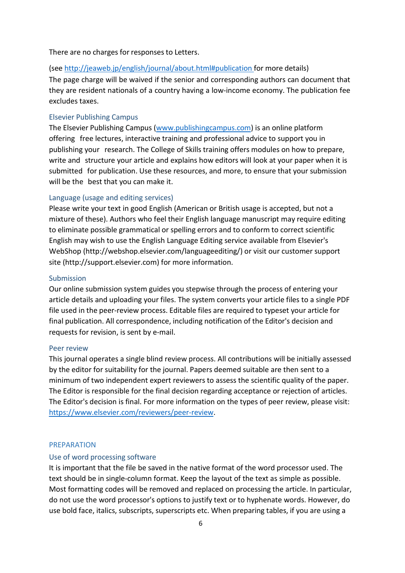There are no charges for responses to Letters.

(se[e http://jeaweb.jp/english/journal/about.html#publication](http://jeaweb.jp/english/journal/about.html%23publication) for more details) The page charge will be waived if the senior and corresponding authors can document that they are resident nationals of a country having a low-income economy. The publication fee excludes taxes.

### Elsevier Publishing Campus

The Elsevier Publishing Campus [\(www.publishingcampus.com\)](http://www.publishingcampus.com/) is an online platform offering free lectures, interactive training and professional advice to support you in publishing your research. The College of Skills training offers modules on how to prepare, write and structure your article and explains how editors will look at your paper when it is submitted for publication. Use these resources, and more, to ensure that your submission will be the best that you can make it.

#### Language (usage and editing services)

Please write your text in good English (American or British usage is accepted, but not a mixture of these). Authors who feel their English language manuscript may require editing to eliminate possible grammatical or spelling errors and to conform to correct scientific English may wish to use the English Language Editing service available from Elsevier's WebShop [\(http://webshop.elsevier.com/languageediting/\)](http://webshop.elsevier.com/languageediting/)) or visit our customer support site (http://support.elsevier.com) for more information.

#### Submission

Our online submission system guides you stepwise through the process of entering your article details and uploading your files. The system converts your article files to a single PDF file used in the peer-review process. Editable files are required to typeset your article for final publication. All correspondence, including notification of the Editor's decision and requests for revision, is sent by e-mail.

#### Peer review

This journal operates a single blind review process. All contributions will be initially assessed by the editor for suitability for the journal. Papers deemed suitable are then sent to a minimum of two independent expert reviewers to assess the scientific quality of the paper. The Editor is responsible for the final decision regarding acceptance or rejection of articles. The Editor's decision is final. For more information on the types of peer review, please visit: [https://www.elsevier.com/reviewers/peer-review.](https://www.elsevier.com/reviewers/peer-review)

#### PREPARATION

#### Use of word processing software

It is important that the file be saved in the native format of the word processor used. The text should be in single-column format. Keep the layout of the text as simple as possible. Most formatting codes will be removed and replaced on processing the article. In particular, do not use the word processor's options to justify text or to hyphenate words. However, do use bold face, italics, subscripts, superscripts etc. When preparing tables, if you are using a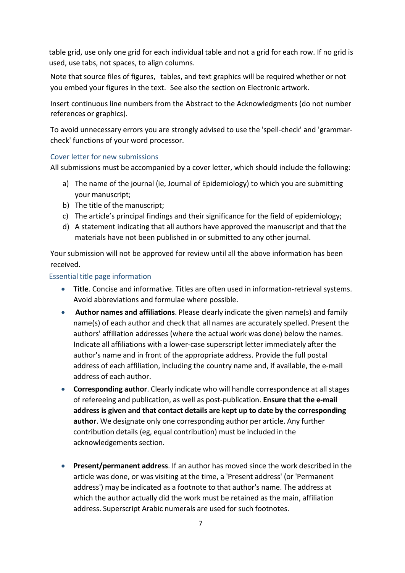table grid, use only one grid for each individual table and not a grid for each row. If no grid is used, use tabs, not spaces, to align columns.

Note that source files of figures, tables, and text graphics will be required whether or not you embed your figures in the text. See also the section on Electronic artwork.

Insert continuous line numbers from the Abstract to the Acknowledgments (do not number references or graphics).

To avoid unnecessary errors you are strongly advised to use the 'spell-check' and 'grammarcheck' functions of your word processor.

### Cover letter for new submissions

All submissions must be accompanied by a cover letter, which should include the following:

- a) The name of the journal (ie, Journal of Epidemiology) to which you are submitting your manuscript;
- b) The title of the manuscript;
- c) The article's principal findings and their significance for the field of epidemiology;
- d) A statement indicating that all authors have approved the manuscript and that the materials have not been published in or submitted to any other journal.

Your submission will not be approved for review until all the above information has been received.

### Essential title page information

- **Title**. Concise and informative. Titles are often used in information-retrieval systems. Avoid abbreviations and formulae where possible.
- **Author names and affiliations**. Please clearly indicate the given name(s) and family name(s) of each author and check that all names are accurately spelled. Present the authors' affiliation addresses (where the actual work was done) below the names. Indicate all affiliations with a lower-case superscript letter immediately after the author's name and in front of the appropriate address. Provide the full postal address of each affiliation, including the country name and, if available, the e-mail address of each author.
- **Corresponding author**. Clearly indicate who will handle correspondence at all stages of refereeing and publication, as well as post-publication. **Ensure that the e-mail address is given and that contact details are kept up to date by the corresponding author**. We designate only one corresponding author per article. Any further contribution details (eg, equal contribution) must be included in the acknowledgements section.
- **Present/permanent address**. If an author has moved since the work described in the article was done, or was visiting at the time, a 'Present address' (or 'Permanent address') may be indicated as a footnote to that author's name. The address at which the author actually did the work must be retained as the main, affiliation address. Superscript Arabic numerals are used for such footnotes.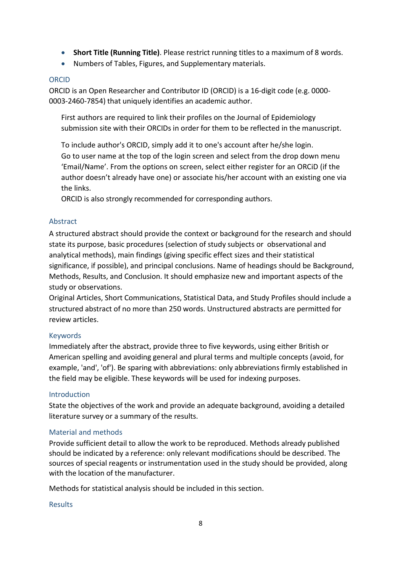- **Short Title (Running Title)**. Please restrict running titles to a maximum of 8 words.
- Numbers of Tables, Figures, and Supplementary materials.

## ORCID

ORCID is an Open Researcher and Contributor ID (ORCID) is a 16-digit code (e.g. 0000- 0003-2460-7854) that uniquely identifies an academic author.

First authors are required to link their profiles on the Journal of Epidemiology submission site with their ORCIDs in order for them to be reflected in the manuscript.

To include author's ORCID, simply add it to one's account after he/she login. Go to user name at the top of the login screen and select from the drop down menu 'Email/Name'. From the options on screen, select either register for an ORCiD (if the author doesn't already have one) or associate his/her account with an existing one via the links.

ORCID is also strongly recommended for corresponding authors.

## Abstract

A structured abstract should provide the context or background for the research and should state its purpose, basic procedures (selection of study subjects or observational and analytical methods), main findings (giving specific effect sizes and their statistical significance, if possible), and principal conclusions. Name of headings should be Background, Methods, Results, and Conclusion. It should emphasize new and important aspects of the study or observations.

Original Articles, Short Communications, Statistical Data, and Study Profiles should include a structured abstract of no more than 250 words. Unstructured abstracts are permitted for review articles.

## Keywords

Immediately after the abstract, provide three to five keywords, using either British or American spelling and avoiding general and plural terms and multiple concepts (avoid, for example, 'and', 'of'). Be sparing with abbreviations: only abbreviations firmly established in the field may be eligible. These keywords will be used for indexing purposes.

## Introduction

State the objectives of the work and provide an adequate background, avoiding a detailed literature survey or a summary of the results.

## Material and methods

Provide sufficient detail to allow the work to be reproduced. Methods already published should be indicated by a reference: only relevant modifications should be described. The sources of special reagents or instrumentation used in the study should be provided, along with the location of the manufacturer.

Methods for statistical analysis should be included in this section.

## Results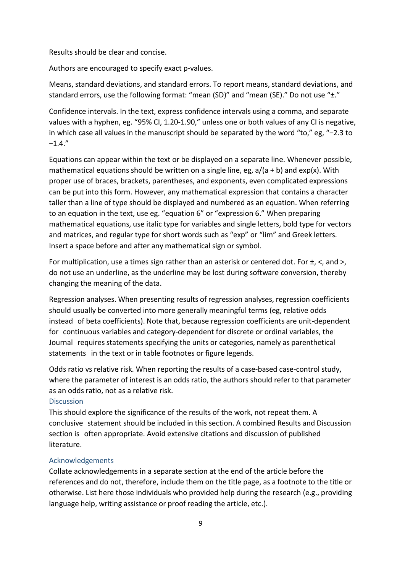Results should be clear and concise.

Authors are encouraged to specify exact p-values.

Means, standard deviations, and standard errors. To report means, standard deviations, and standard errors, use the following format: "mean (SD)" and "mean (SE)." Do not use " $\pm$ ."

Confidence intervals. In the text, express confidence intervals using a comma, and separate values with a hyphen, eg. "95% CI, 1.20-1.90," unless one or both values of any CI is negative, in which case all values in the manuscript should be separated by the word "to," eg, "−2.3 to −1.4."

Equations can appear within the text or be displayed on a separate line. Whenever possible, mathematical equations should be written on a single line, eg,  $a/(a + b)$  and exp(x). With proper use of braces, brackets, parentheses, and exponents, even complicated expressions can be put into this form. However, any mathematical expression that contains a character taller than a line of type should be displayed and numbered as an equation. When referring to an equation in the text, use eg. "equation 6" or "expression 6." When preparing mathematical equations, use italic type for variables and single letters, bold type for vectors and matrices, and regular type for short words such as "exp" or "lim" and Greek letters. Insert a space before and after any mathematical sign or symbol.

For multiplication, use a times sign rather than an asterisk or centered dot. For  $\pm$ ,  $\lt$ , and  $\gt$ , do not use an underline, as the underline may be lost during software conversion, thereby changing the meaning of the data.

Regression analyses. When presenting results of regression analyses, regression coefficients should usually be converted into more generally meaningful terms (eg, relative odds instead of beta coefficients). Note that, because regression coefficients are unit-dependent for continuous variables and category-dependent for discrete or ordinal variables, the Journal requires statements specifying the units or categories, namely as parenthetical statements in the text or in table footnotes or figure legends.

Odds ratio vs relative risk. When reporting the results of a case-based case-control study, where the parameter of interest is an odds ratio, the authors should refer to that parameter as an odds ratio, not as a relative risk.

#### **Discussion**

This should explore the significance of the results of the work, not repeat them. A conclusive statement should be included in this section. A combined Results and Discussion section is often appropriate. Avoid extensive citations and discussion of published literature.

### Acknowledgements

Collate acknowledgements in a separate section at the end of the article before the references and do not, therefore, include them on the title page, as a footnote to the title or otherwise. List here those individuals who provided help during the research (e.g., providing language help, writing assistance or proof reading the article, etc.).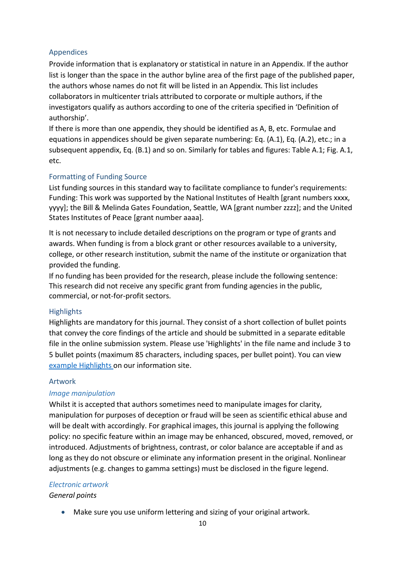## Appendices

Provide information that is explanatory or statistical in nature in an Appendix. If the author list is longer than the space in the author byline area of the first page of the published paper, the authors whose names do not fit will be listed in an Appendix. This list includes collaborators in multicenter trials attributed to corporate or multiple authors, if the investigators qualify as authors according to one of the criteria specified in 'Definition of authorship'.

If there is more than one appendix, they should be identified as A, B, etc. Formulae and equations in appendices should be given separate numbering: Eq. (A.1), Eq. (A.2), etc.; in a subsequent appendix, Eq. (B.1) and so on. Similarly for tables and figures: Table A.1; Fig. A.1, etc.

### Formatting of Funding Source

List funding sources in this standard way to facilitate compliance to funder's requirements: Funding: This work was supported by the National Institutes of Health [grant numbers xxxx, yyyy]; the Bill & Melinda Gates Foundation, Seattle, WA [grant number zzzz]; and the United States Institutes of Peace [grant number aaaa].

It is not necessary to include detailed descriptions on the program or type of grants and awards. When funding is from a block grant or other resources available to a university, college, or other research institution, submit the name of the institute or organization that provided the funding.

If no funding has been provided for the research, please include the following sentence: This research did not receive any specific grant from funding agencies in the public, commercial, or not-for-profit sectors.

#### **Highlights**

Highlights are mandatory for this journal. They consist of a short collection of bullet points that convey the core findings of the article and should be submitted in a separate editable file in the online submission system. Please use 'Highlights' in the file name and include 3 to 5 bullet points (maximum 85 characters, including spaces, per bullet point). You can view example [Highlights](https://www.elsevier.com/highlights) on our information site.

#### Artwork

#### *Image manipulation*

Whilst it is accepted that authors sometimes need to manipulate images for clarity, manipulation for purposes of deception or fraud will be seen as scientific ethical abuse and will be dealt with accordingly. For graphical images, this journal is applying the following policy: no specific feature within an image may be enhanced, obscured, moved, removed, or introduced. Adjustments of brightness, contrast, or color balance are acceptable if and as long as they do not obscure or eliminate any information present in the original. Nonlinear adjustments (e.g. changes to gamma settings) must be disclosed in the figure legend.

#### *Electronic artwork*

*General points*

• Make sure you use uniform lettering and sizing of your original artwork.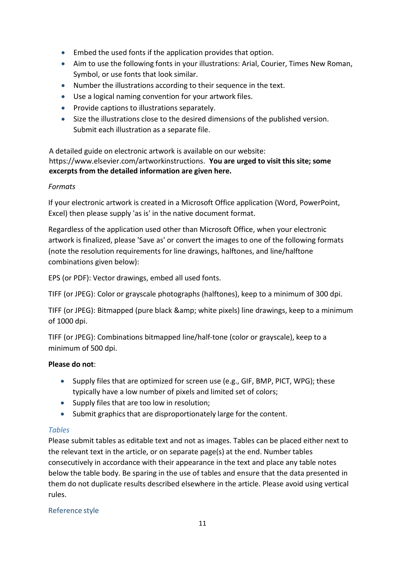- Embed the used fonts if the application provides that option.
- Aim to use the following fonts in your illustrations: Arial, Courier, Times New Roman, Symbol, or use fonts that look similar.
- Number the illustrations according to their sequence in the text.
- Use a logical naming convention for your artwork files.
- Provide captions to illustrations separately.
- Size the illustrations close to the desired dimensions of the published version. Submit each illustration as a separate file.

A detailed guide on electronic artwork is available on our website: https:[//www.elsevier.com/artworkinstructions.](http://www.elsevier.com/artworkinstructions.You) **You are urged to visit this site; some excerpts from the detailed information are given here.**

## *Formats*

If your electronic artwork is created in a Microsoft Office application (Word, PowerPoint, Excel) then please supply 'as is' in the native document format.

Regardless of the application used other than Microsoft Office, when your electronic artwork is finalized, please 'Save as' or convert the images to one of the following formats (note the resolution requirements for line drawings, halftones, and line/halftone combinations given below):

EPS (or PDF): Vector drawings, embed all used fonts.

TIFF (or JPEG): Color or grayscale photographs (halftones), keep to a minimum of 300 dpi.

TIFF (or JPEG): Bitmapped (pure black & amp; white pixels) line drawings, keep to a minimum of 1000 dpi.

TIFF (or JPEG): Combinations bitmapped line/half-tone (color or grayscale), keep to a minimum of 500 dpi.

## **Please do not**:

- Supply files that are optimized for screen use (e.g., GIF, BMP, PICT, WPG); these typically have a low number of pixels and limited set of colors;
- Supply files that are too low in resolution;
- Submit graphics that are disproportionately large for the content.

## *Tables*

Please submit tables as editable text and not as images. Tables can be placed either next to the relevant text in the article, or on separate page(s) at the end. Number tables consecutively in accordance with their appearance in the text and place any table notes below the table body. Be sparing in the use of tables and ensure that the data presented in them do not duplicate results described elsewhere in the article. Please avoid using vertical rules.

## Reference style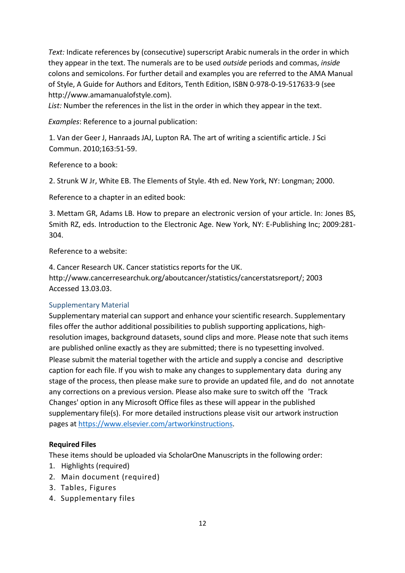*Text:* Indicate references by (consecutive) superscript Arabic numerals in the order in which they appear in the text. The numerals are to be used *outside* periods and commas, *inside* colons and semicolons. For further detail and examples you are referred to the AMA Manual of Style, A Guide for Authors and Editors, Tenth Edition, ISBN 0-978-0-19-517633-9 (see http://www.amamanualofstyle.com).

*List:* Number the references in the list in the order in which they appear in the text.

*Examples*: Reference to a journal publication:

1. Van der Geer J, Hanraads JAJ, Lupton RA. The art of writing a scientific article. J Sci Commun. 2010;163:51-59.

Reference to a book:

2. Strunk W Jr, White EB. The Elements of Style. 4th ed. New York, NY: Longman; 2000.

Reference to a chapter in an edited book:

3. Mettam GR, Adams LB. How to prepare an electronic version of your article. In: Jones BS, Smith RZ, eds. Introduction to the Electronic Age. New York, NY: E-Publishing Inc; 2009:281- 304.

Reference to a website:

4. Cancer Research UK. Cancer statistics reports for the UK. [http://www.cancerresearchuk.org/aboutcancer/statistics/cancerstatsreport/;](http://www.cancerresearchuk.org/aboutcancer/statistics/cancerstatsreport/%3B) 2003 Accessed 13.03.03.

## Supplementary Material

Supplementary material can support and enhance your scientific research. Supplementary files offer the author additional possibilities to publish supporting applications, highresolution images, background datasets, sound clips and more. Please note that such items are published online exactly as they are submitted; there is no typesetting involved. Please submit the material together with the article and supply a concise and descriptive caption for each file. If you wish to make any changes to supplementary data during any stage of the process, then please make sure to provide an updated file, and do not annotate any corrections on a previous version. Please also make sure to switch off the 'Track Changes' option in any Microsoft Office files as these will appear in the published supplementary file(s). For more detailed instructions please visit our artwork instruction pages at [https://www.elsevier.com/artworkinstructions.](https://www.elsevier.com/artworkinstructions)

## **Required Files**

These items should be uploaded via ScholarOne Manuscripts in the following order:

- 1. Highlights (required)
- 2. Main document (required)
- 3. Tables, Figures
- 4. Supplementary files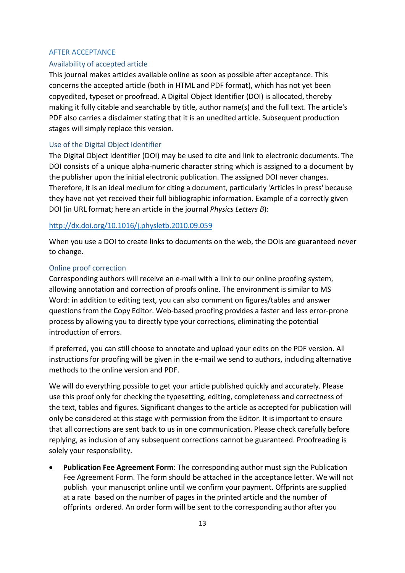#### AFTER ACCEPTANCE

#### Availability of accepted article

This journal makes articles available online as soon as possible after acceptance. This concerns the accepted article (both in HTML and PDF format), which has not yet been copyedited, typeset or proofread. A Digital Object Identifier (DOI) is allocated, thereby making it fully citable and searchable by title, author name(s) and the full text. The article's PDF also carries a disclaimer stating that it is an unedited article. Subsequent production stages will simply replace this version.

#### Use of the Digital Object Identifier

The Digital Object Identifier (DOI) may be used to cite and link to electronic documents. The DOI consists of a unique alpha-numeric character string which is assigned to a document by the publisher upon the initial electronic publication. The assigned DOI never changes. Therefore, it is an ideal medium for citing a document, particularly 'Articles in press' because they have not yet received their full bibliographic information. Example of a correctly given DOI (in URL format; here an article in the journal *Physics Letters B*):

#### <http://dx.doi.org/10.1016/j.physletb.2010.09.059>

When you use a DOI to create links to documents on the web, the DOIs are guaranteed never to change.

#### Online proof correction

Corresponding authors will receive an e-mail with a link to our online proofing system, allowing annotation and correction of proofs online. The environment is similar to MS Word: in addition to editing text, you can also comment on figures/tables and answer questions from the Copy Editor. Web-based proofing provides a faster and less error-prone process by allowing you to directly type your corrections, eliminating the potential introduction of errors.

If preferred, you can still choose to annotate and upload your edits on the PDF version. All instructions for proofing will be given in the e-mail we send to authors, including alternative methods to the online version and PDF.

We will do everything possible to get your article published quickly and accurately. Please use this proof only for checking the typesetting, editing, completeness and correctness of the text, tables and figures. Significant changes to the article as accepted for publication will only be considered at this stage with permission from the Editor. It is important to ensure that all corrections are sent back to us in one communication. Please check carefully before replying, as inclusion of any subsequent corrections cannot be guaranteed. Proofreading is solely your responsibility.

• **Publication Fee Agreement Form**: The corresponding author must sign the Publication Fee Agreement Form. The form should be attached in the acceptance letter. We will not publish your manuscript online until we confirm your payment. Offprints are supplied at a rate based on the number of pages in the printed article and the number of offprints ordered. An order form will be sent to the corresponding author after you